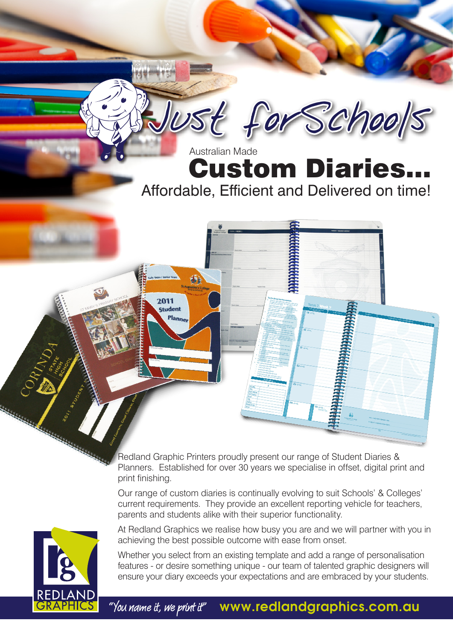# **Custom Diaries.** Affordable, Efficient and Delivered on time! Australian Made

Just forSchools

Redland Graphic Printers proudly present our range of Student Diaries & Planners. Established for over 30 years we specialise in offset, digital print and print finishing.

2011 **Student** 

Our range of custom diaries is continually evolving to suit Schools' & Colleges' current requirements. They provide an excellent reporting vehicle for teachers, parents and students alike with their superior functionality.

At Redland Graphics we realise how busy you are and we will partner with you in achieving the best possible outcome with ease from onset.

Whether you select from an existing template and add a range of personalisation features - or desire something unique - our team of talented graphic designers will ensure your diary exceeds your expectations and are embraced by your students.